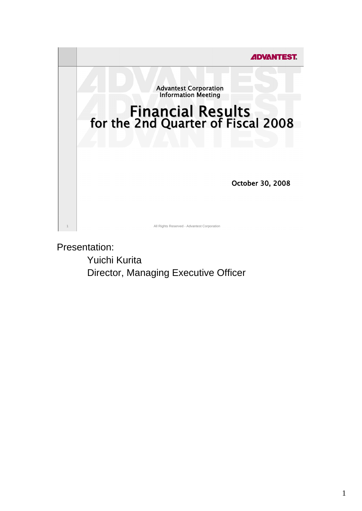

Presentation:

 Yuichi Kurita Director, Managing Executive Officer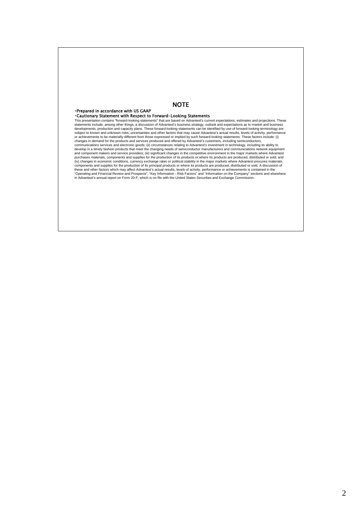## **NOTE**

## ・Prepared in accordance with US GAAP

## ・Cautionary Statement with Respect to Forward-Looking Statements

This presentation contains "forward-looking statements" that are based on Advantest's current expectations, estimates and projections. These<br>statements include, among other things, a discussion of Advantest's business stra developments, production and capacity plans. These forward-looking statements can be identified by use of forward-looking terminology are<br>subject to known and unknown risks, uncertainties and other factors that may cause A or achievements to be materially different from those expressed or implied by such forward-looking statements. These factors include: (i)<br>changes in demand for the products and services produced and offered by Advantest's components and supplies for the production of its principal products or where its products are produced, distributed or sold. A discussion of<br>these and other factors which may affect Advantest's actual results, levels of a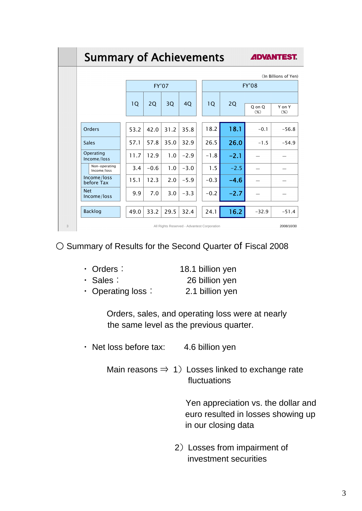|   | <b>Summary of Achievements</b><br><b>ADVANTEST.</b>       |      |              |      |        |  |                 |        |                  |                  |  |
|---|-----------------------------------------------------------|------|--------------|------|--------|--|-----------------|--------|------------------|------------------|--|
|   | (In Billions of Yen)                                      |      |              |      |        |  |                 |        |                  |                  |  |
|   |                                                           |      | <b>FY'07</b> |      |        |  | <b>FY'08</b>    |        |                  |                  |  |
|   |                                                           |      |              |      |        |  |                 |        |                  |                  |  |
|   |                                                           | 1Q   | 2Q           | 3Q   | 40     |  | 10 <sup>°</sup> | 2Q     | Q on Q<br>$(\%)$ | Y on Y<br>$(\%)$ |  |
|   |                                                           |      |              |      |        |  |                 |        |                  |                  |  |
|   | Orders                                                    | 53.2 | 42.0         | 31.2 | 35.8   |  | 18.2            | 18.1   | $-0.1$           | $-56.8$          |  |
|   | <b>Sales</b>                                              | 57.1 | 57.8         | 35.0 | 32.9   |  | 26.5            | 26.0   | $-1.5$           | $-54.9$          |  |
|   | Operating<br>Income/loss                                  | 11.7 | 12.9         | 1.0  | $-2.9$ |  | $-1.8$          | $-2.1$ |                  |                  |  |
|   | Non-operating<br>Income/loss                              | 3.4  | $-0.6$       | 1.0  | $-3.0$ |  | 1.5             | $-2.5$ |                  |                  |  |
|   | Income/loss<br>before Tax                                 | 15.1 | 12.3         | 2.0  | $-5.9$ |  | $-0.3$          | $-4.6$ |                  |                  |  |
|   | <b>Net</b><br>Income/loss                                 | 9.9  | 7.0          | 3.0  | $-3.3$ |  | $-0.2$          | $-2.7$ |                  |                  |  |
|   | <b>Backlog</b>                                            | 49.0 | 33.2         | 29.5 | 32.4   |  | 24.1            | 16.2   | $-32.9$          | $-51.4$          |  |
| 3 | All Rights Reserved - Advantest Corporation<br>2008/10/30 |      |              |      |        |  |                 |        |                  |                  |  |

○ Summary of Results for the Second Quarter of Fiscal 2008

| $\cdot$ Orders : | 18.1 billion yen |
|------------------|------------------|
| $\cdot$ Sales:   | 26 billion yen   |

・ Operating loss: 2.1 billion yen

 Orders, sales, and operating loss were at nearly the same level as the previous quarter.

- ・ Net loss before tax: 4.6 billion yen
	- Main reasons  $\Rightarrow$  1) Losses linked to exchange rate fluctuations

 Yen appreciation vs. the dollar and euro resulted in losses showing up in our closing data

 2)Losses from impairment of investment securities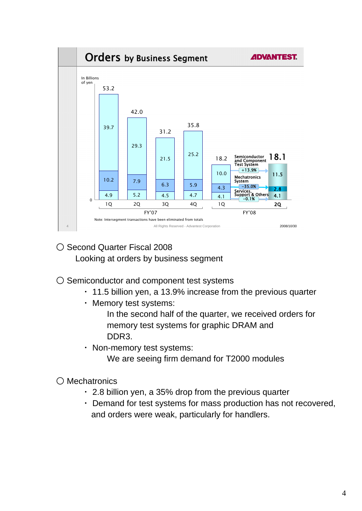

- Second Quarter Fiscal 2008 Looking at orders by business segment
- Semiconductor and component test systems
	- ・ 11.5 billion yen, a 13.9% increase from the previous quarter
	- ・ Memory test systems:

 In the second half of the quarter, we received orders for memory test systems for graphic DRAM and DDR3.

・ Non-memory test systems:

We are seeing firm demand for T2000 modules

○ Mechatronics

- ・ 2.8 billion yen, a 35% drop from the previous quarter
- ・ Demand for test systems for mass production has not recovered, and orders were weak, particularly for handlers.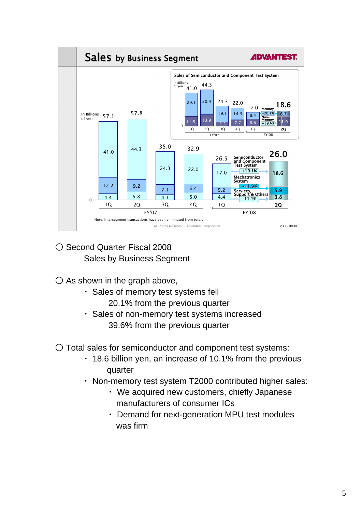

- Second Quarter Fiscal 2008 Sales by Business Segment
- $\bigcirc$  As shown in the graph above,
	- ・ Sales of memory test systems fell 20.1% from the previous quarter
	- ・ Sales of non-memory test systems increased 39.6% from the previous quarter
- Total sales for semiconductor and component test systems:
	- ・ 18.6 billion yen, an increase of 10.1% from the previous quarter
	- ・ Non-memory test system T2000 contributed higher sales:
		- ・ We acquired new customers, chiefly Japanese manufacturers of consumer ICs
		- ・ Demand for next-generation MPU test modules was firm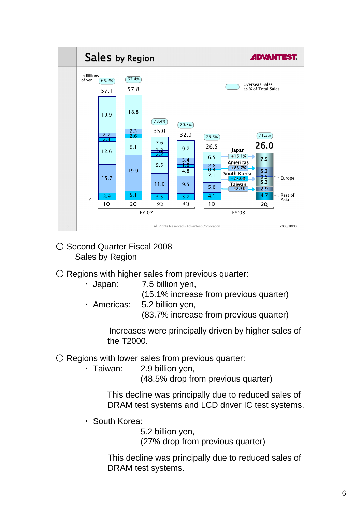

- Second Quarter Fiscal 2008 Sales by Region
- $\bigcirc$  Regions with higher sales from previous quarter:
	- ・ Japan: 7.5 billion yen, (15.1% increase from previous quarter)
	- ・ Americas: 5.2 billion yen, (83.7% increase from previous quarter)

 Increases were principally driven by higher sales of the T2000.

 $\bigcirc$  Regions with lower sales from previous quarter:

・ Taiwan: 2.9 billion yen,

(48.5% drop from previous quarter)

 This decline was principally due to reduced sales of DRAM test systems and LCD driver IC test systems.

・ South Korea:

5.2 billion yen,

(27% drop from previous quarter)

 This decline was principally due to reduced sales of DRAM test systems.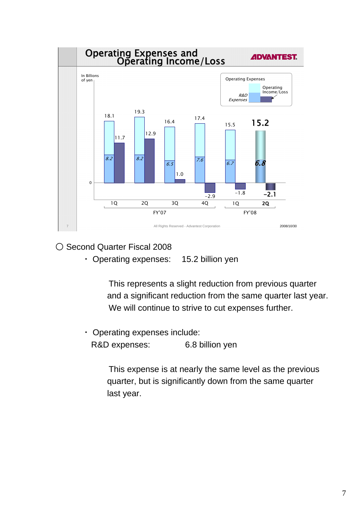

○ Second Quarter Fiscal 2008

・ Operating expenses: 15.2 billion yen

 This represents a slight reduction from previous quarter and a significant reduction from the same quarter last year. We will continue to strive to cut expenses further.

 ・ Operating expenses include: R&D expenses: 6.8 billion yen

> This expense is at nearly the same level as the previous quarter, but is significantly down from the same quarter last year.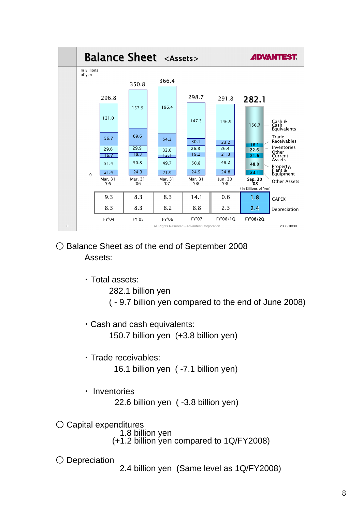

- Balance Sheet as of the end of September 2008 Assets:
	- ・Total assets:

282.1 billion yen

( - 9.7 billion yen compared to the end of June 2008)

- ・Cash and cash equivalents: 150.7 billion yen (+3.8 billion yen)
- ・Trade receivables:

16.1 billion yen ( -7.1 billion yen)

・ Inventories

22.6 billion yen ( -3.8 billion yen)

○ Capital expenditures 1.8 billion yen

- 
- (+1.2 billion yen compared to 1Q/FY2008)
- 
- Depreciation 2.4 billion yen (Same level as 1Q/FY2008)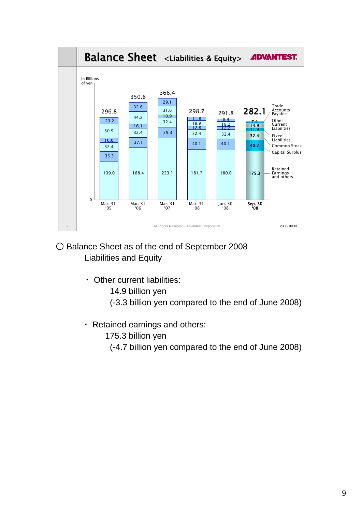

- Balance Sheet as of the end of September 2008 Liabilities and Equity
	- ・ Other current liabilities:
		- 14.9 billion yen
		- (-3.3 billion yen compared to the end of June 2008)
	- ・ Retained earnings and others:
		- 175.3 billion yen
			- (-4.7 billion yen compared to the end of June 2008)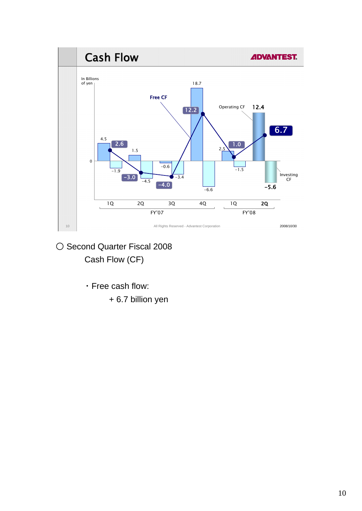

- Second Quarter Fiscal 2008 Cash Flow (CF)
	- ・Free cash flow:
		- + 6.7 billion yen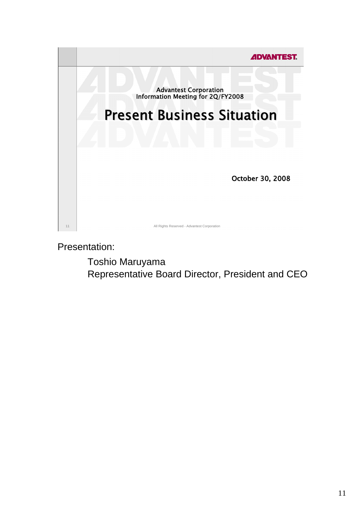

Presentation:

Toshio Maruyama Representative Board Director, President and CEO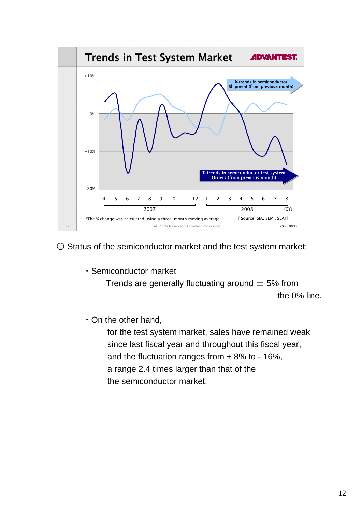

○ Status of the semiconductor market and the test system market:

・Semiconductor market

Trends are generally fluctuating around  $\pm$  5% from the 0% line.

・On the other hand,

 for the test system market, sales have remained weak since last fiscal year and throughout this fiscal year, and the fluctuation ranges from + 8% to - 16%, a range 2.4 times larger than that of the the semiconductor market.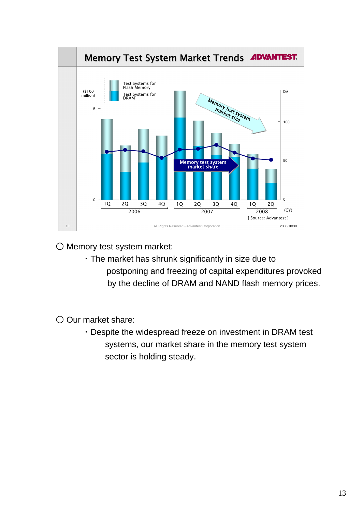

○ Memory test system market:

 ・The market has shrunk significantly in size due to postponing and freezing of capital expenditures provoked by the decline of DRAM and NAND flash memory prices.

○ Our market share:

 ・Despite the widespread freeze on investment in DRAM test systems, our market share in the memory test system sector is holding steady.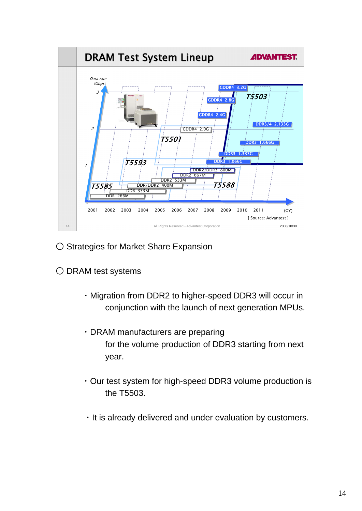

- Strategies for Market Share Expansion
- DRAM test systems
	- ・Migration from DDR2 to higher-speed DDR3 will occur in conjunction with the launch of next generation MPUs.
	- ・DRAM manufacturers are preparing for the volume production of DDR3 starting from next year.
	- ・Our test system for high-speed DDR3 volume production is the T5503.
	- ・It is already delivered and under evaluation by customers.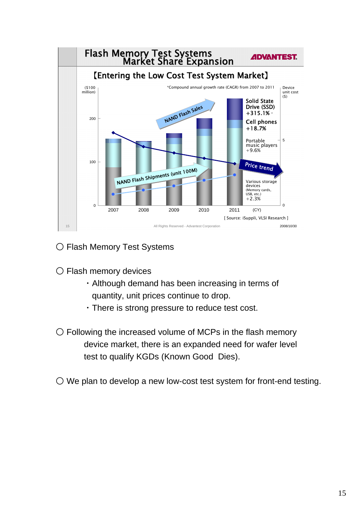

○ Flash Memory Test Systems

○ Flash memory devices

- ・Although demand has been increasing in terms of quantity, unit prices continue to drop.
- ・There is strong pressure to reduce test cost.
- $\bigcirc$  Following the increased volume of MCPs in the flash memory device market, there is an expanded need for wafer level test to qualify KGDs (Known Good Dies).
- We plan to develop a new low-cost test system for front-end testing.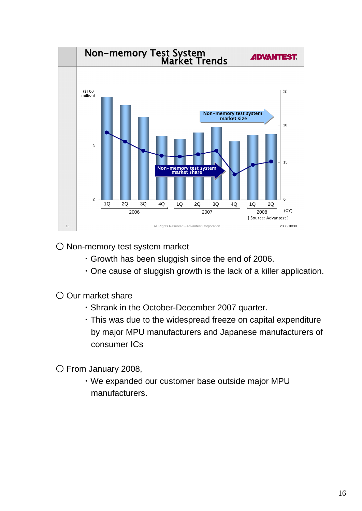

○ Non-memory test system market

- ・Growth has been sluggish since the end of 2006.
- ・One cause of sluggish growth is the lack of a killer application.
- Our market share
	- ・Shrank in the October-December 2007 quarter.
	- ・This was due to the widespread freeze on capital expenditure by major MPU manufacturers and Japanese manufacturers of consumer ICs

○ From January 2008,

 ・We expanded our customer base outside major MPU manufacturers.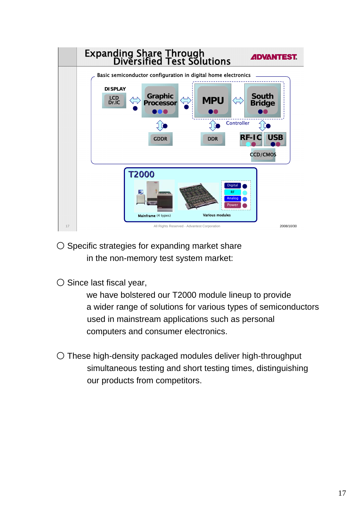![](_page_16_Figure_0.jpeg)

○ Specific strategies for expanding market share in the non-memory test system market:

○ Since last fiscal year,

 we have bolstered our T2000 module lineup to provide a wider range of solutions for various types of semiconductors used in mainstream applications such as personal computers and consumer electronics.

○ These high-density packaged modules deliver high-throughput simultaneous testing and short testing times, distinguishing our products from competitors.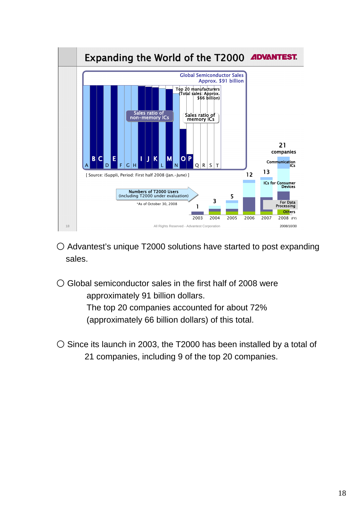![](_page_17_Figure_0.jpeg)

- Advantest's unique T2000 solutions have started to post expanding sales.
- $\bigcirc$  Global semiconductor sales in the first half of 2008 were approximately 91 billion dollars.

 The top 20 companies accounted for about 72% (approximately 66 billion dollars) of this total.

○ Since its launch in 2003, the T2000 has been installed by a total of 21 companies, including 9 of the top 20 companies.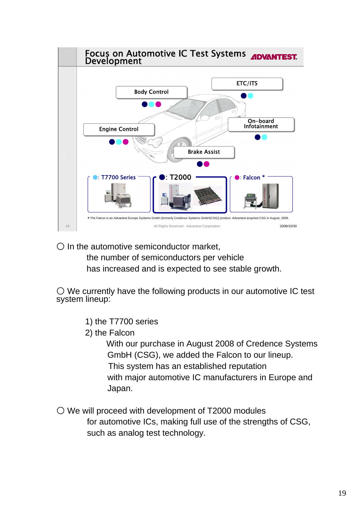![](_page_18_Figure_0.jpeg)

 $\bigcirc$  In the automotive semiconductor market,

 the number of semiconductors per vehicle has increased and is expected to see stable growth.

 $\bigcirc$  We currently have the following products in our automotive IC test system lineup:

- 1) the T7700 series
- 2) the Falcon

 With our purchase in August 2008 of Credence Systems GmbH (CSG), we added the Falcon to our lineup. This system has an established reputation with major automotive IC manufacturers in Europe and Japan.

○ We will proceed with development of T2000 modules for automotive ICs, making full use of the strengths of CSG, such as analog test technology.